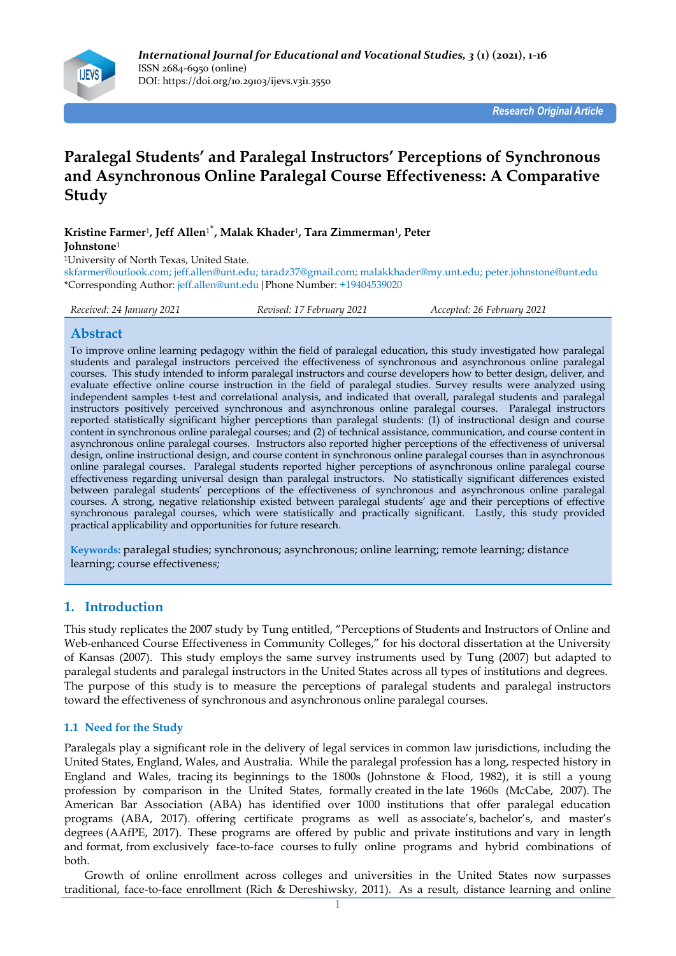

*Research Original Article*

# **Paralegal Students' and Paralegal Instructors' Perceptions of Synchronous and Asynchronous Online Paralegal Course Effectiveness: A Comparative Study**

**Kristine Farmer**<sup>1</sup> **, Jeff Allen**1\* **, Malak Khader**<sup>1</sup> **, Tara Zimmerman**<sup>1</sup> **, Peter Johnstone**<sup>1</sup>

<sup>1</sup>University of North Texas, United State.

skfarmer@outlook.com; jeff.allen@unt.edu; taradz37@gmail.com; malakkhader@my.unt.edu; peter.johnstone@unt.edu \*Corresponding Author: jeff.allen@unt.edu|Phone Number: +19404539020

| Received: 24 January 2021 | Revised: 17 February 2021 | Accepted: 26 February 2021 |
|---------------------------|---------------------------|----------------------------|
|                           |                           |                            |

## **Abstract**

To improve online learning pedagogy within the field of paralegal education, this study investigated how paralegal students and paralegal instructors perceived the effectiveness of synchronous and asynchronous online paralegal courses. This study intended to inform paralegal instructors and course developers how to better design, deliver, and evaluate effective online course instruction in the field of paralegal studies. Survey results were analyzed using independent samples t-test and correlational analysis, and indicated that overall, paralegal students and paralegal instructors positively perceived synchronous and asynchronous online paralegal courses. Paralegal instructors reported statistically significant higher perceptions than paralegal students: (1) of instructional design and course content in synchronous online paralegal courses; and (2) of technical assistance, communication, and course content in asynchronous online paralegal courses. Instructors also reported higher perceptions of the effectiveness of universal design, online instructional design, and course content in synchronous online paralegal courses than in asynchronous online paralegal courses. Paralegal students reported higher perceptions of asynchronous online paralegal course effectiveness regarding universal design than paralegal instructors. No statistically significant differences existed between paralegal students' perceptions of the effectiveness of synchronous and asynchronous online paralegal courses. A strong, negative relationship existed between paralegal students' age and their perceptions of effective synchronous paralegal courses, which were statistically and practically significant. Lastly, this study provided practical applicability and opportunities for future research.

**Keywords:** paralegal studies; synchronous; asynchronous; online learning; remote learning; distance learning; course effectivenes*s;*

## **1. Introduction**

This study replicates the 2007 study by Tung entitled, "Perceptions of Students and Instructors of Online and Web-enhanced Course Effectiveness in Community Colleges," for his doctoral dissertation at the University of Kansas (2007). This study employs the same survey instruments used by Tung (2007) but adapted to paralegal students and paralegal instructors in the United States across all types of institutions and degrees. The purpose of this study is to measure the perceptions of paralegal students and paralegal instructors toward the effectiveness of synchronous and asynchronous online paralegal courses.

## **1.1 Need for the Study**

Paralegals play a significant role in the delivery of legal services in common law jurisdictions, including the United States, England, Wales, and Australia. While the paralegal profession has a long, respected history in England and Wales, tracing its beginnings to the 1800s (Johnstone & Flood, 1982), it is still a young profession by comparison in the United States, formally created in the late 1960s (McCabe, 2007). The American Bar Association (ABA) has identified over 1000 institutions that offer paralegal education programs (ABA, 2017). offering certificate programs as well as associate's, bachelor's, and master's degrees (AAfPE, 2017). These programs are offered by public and private institutions and vary in length and format, from exclusively face-to-face courses to fully online programs and hybrid combinations of both.

Growth of online enrollment across colleges and universities in the United States now surpasses traditional, face-to-face enrollment (Rich & Dereshiwsky, 2011). As a result, distance learning and online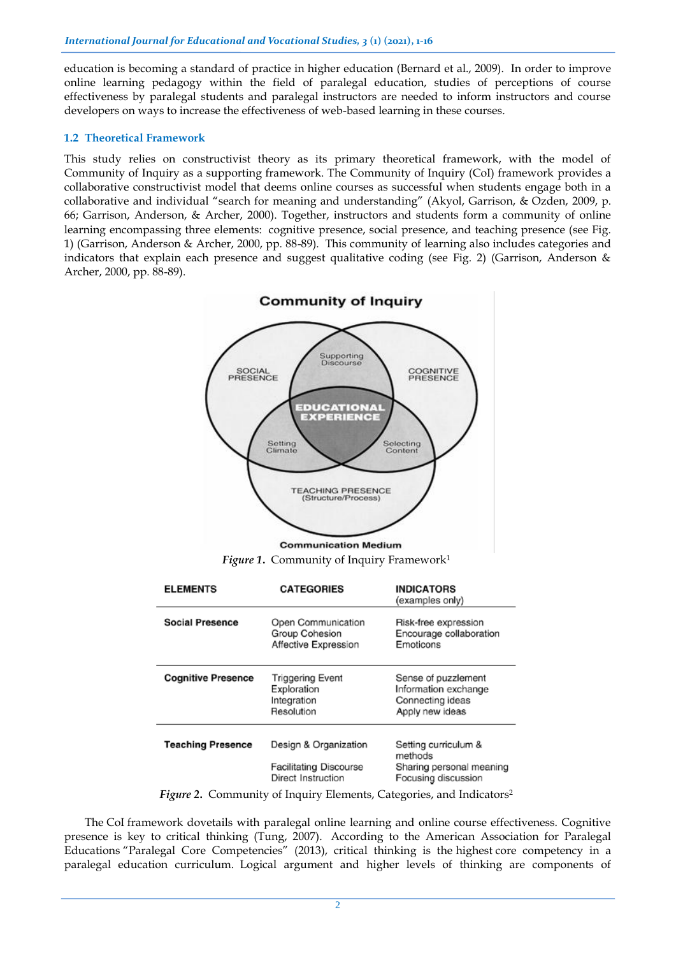education is becoming a standard of practice in higher education (Bernard et al., 2009). In order to improve online learning pedagogy within the field of paralegal education, studies of perceptions of course effectiveness by paralegal students and paralegal instructors are needed to inform instructors and course developers on ways to increase the effectiveness of web-based learning in these courses.

## **1.2 Theoretical Framework**

This study relies on constructivist theory as its primary theoretical framework, with the model of Community of Inquiry as a supporting framework. The Community of Inquiry (CoI) framework provides a collaborative constructivist model that deems online courses as successful when students engage both in a collaborative and individual "search for meaning and understanding" (Akyol, Garrison, & Ozden, 2009, p. 66; Garrison, Anderson, & Archer, 2000). Together, instructors and students form a community of online learning encompassing three elements: cognitive presence, social presence, and teaching presence (see Fig. 1) (Garrison, Anderson & Archer, 2000, pp. 88-89). This community of learning also includes categories and indicators that explain each presence and suggest qualitative coding (see Fig. 2) (Garrison, Anderson & Archer, 2000, pp. 88-89).



*Figure 1.* Community of Inquiry Framework<sup>1</sup>

| <b>ELEMENTS</b>           | <b>CATEGORIES</b>                                                            | <b>INDICATORS</b><br>(examples only)                                               |  |  |  |
|---------------------------|------------------------------------------------------------------------------|------------------------------------------------------------------------------------|--|--|--|
| <b>Social Presence</b>    | Open Communication<br>Group Cohesion<br>Affective Expression                 | Risk-free expression<br>Encourage collaboration<br>Emoticons                       |  |  |  |
| <b>Cognitive Presence</b> | Triggering Event<br>Exploration<br>Integration<br>Resolution                 | Sense of puzzlement<br>Information exchange<br>Connecting ideas<br>Apply new ideas |  |  |  |
| <b>Teaching Presence</b>  | Design & Organization<br><b>Facilitating Discourse</b><br>Direct Instruction | Setting curriculum &<br>methods<br>Sharing personal meaning<br>Focusing discussion |  |  |  |
|                           |                                                                              | Figure 2. Community of Inquiry Elements, Categories, and Indicators <sup>2</sup>   |  |  |  |

*Figure 2*. Community of Inquiry Elements, Categories, and Indicators

The CoI framework dovetails with paralegal online learning and online course effectiveness. Cognitive presence is key to critical thinking (Tung, 2007). According to the American Association for Paralegal Educations "Paralegal Core Competencies" (2013), critical thinking is the highest core competency in a paralegal education curriculum. Logical argument and higher levels of thinking are components of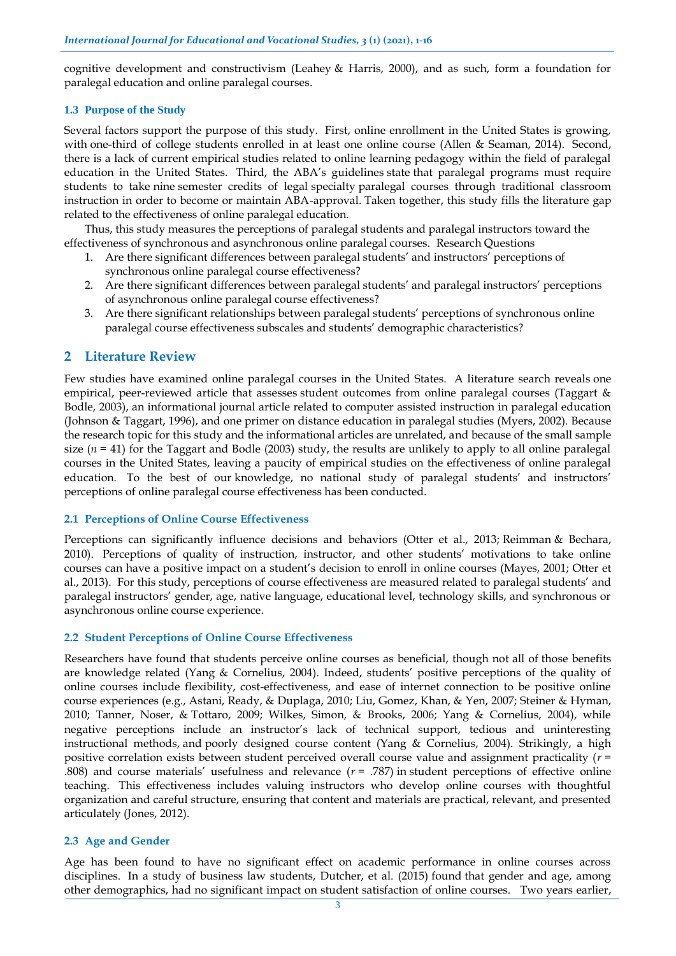cognitive development and constructivism (Leahey & Harris, 2000), and as such, form a foundation for paralegal education and online paralegal courses.

## **1.3 Purpose of the Study**

Several factors support the purpose of this study. First, online enrollment in the United States is growing, with one-third of college students enrolled in at least one online course (Allen & Seaman, 2014). Second, there is a lack of current empirical studies related to online learning pedagogy within the field of paralegal education in the United States. Third, the ABA's guidelines state that paralegal programs must require students to take nine semester credits of legal specialty paralegal courses through traditional classroom instruction in order to become or maintain ABA-approval. Taken together, this study fills the literature gap related to the effectiveness of online paralegal education.

Thus, this study measures the perceptions of paralegal students and paralegal instructors toward the effectiveness of synchronous and asynchronous online paralegal courses. Research Questions

- 1. Are there significant differences between paralegal students' and instructors' perceptions of synchronous online paralegal course effectiveness?
- 2. Are there significant differences between paralegal students' and paralegal instructors' perceptions of asynchronous online paralegal course effectiveness?
- 3. Are there significant relationships between paralegal students' perceptions of synchronous online paralegal course effectiveness subscales and students' demographic characteristics?

## **2 Literature Review**

Few studies have examined online paralegal courses in the United States. A literature search reveals one empirical, peer-reviewed article that assesses student outcomes from online paralegal courses (Taggart & Bodle, 2003), an informational journal article related to computer assisted instruction in paralegal education (Johnson & Taggart, 1996), and one primer on distance education in paralegal studies (Myers, 2002). Because the research topic for this study and the informational articles are unrelated, and because of the small sample size  $(n = 41)$  for the Taggart and Bodle (2003) study, the results are unlikely to apply to all online paralegal courses in the United States, leaving a paucity of empirical studies on the effectiveness of online paralegal education. To the best of our knowledge, no national study of paralegal students' and instructors' perceptions of online paralegal course effectiveness has been conducted.

### **2.1 Perceptions of Online Course Effectiveness**

Perceptions can significantly influence decisions and behaviors (Otter et al., 2013; Reimman & Bechara, 2010). Perceptions of quality of instruction, instructor, and other students' motivations to take online courses can have a positive impact on a student's decision to enroll in online courses (Mayes, 2001; Otter et al., 2013). For this study, perceptions of course effectiveness are measured related to paralegal students' and paralegal instructors' gender, age, native language, educational level, technology skills, and synchronous or asynchronous online course experience.

## **2.2 Student Perceptions of Online Course Effectiveness**

Researchers have found that students perceive online courses as beneficial, though not all of those benefits are knowledge related (Yang & Cornelius, 2004). Indeed, students' positive perceptions of the quality of online courses include flexibility, cost-effectiveness, and ease of internet connection to be positive online course experiences (e.g., Astani, Ready, & Duplaga, 2010; Liu, Gomez, Khan, & Yen, 2007; Steiner & Hyman, 2010; Tanner, Noser, & Tottaro, 2009; Wilkes, Simon, & Brooks, 2006; Yang & Cornelius, 2004), while negative perceptions include an instructor's lack of technical support, tedious and uninteresting instructional methods, and poorly designed course content (Yang & Cornelius, 2004). Strikingly, a high positive correlation exists between student perceived overall course value and assignment practicality (*r* = .808) and course materials' usefulness and relevance  $(r = .787)$  in student perceptions of effective online teaching. This effectiveness includes valuing instructors who develop online courses with thoughtful organization and careful structure, ensuring that content and materials are practical, relevant, and presented articulately (Jones, 2012).

### **2.3 Age and Gender**

Age has been found to have no significant effect on academic performance in online courses across disciplines. In a study of business law students, Dutcher, et al. (2015) found that gender and age, among other demographics, had no significant impact on student satisfaction of online courses. Two years earlier,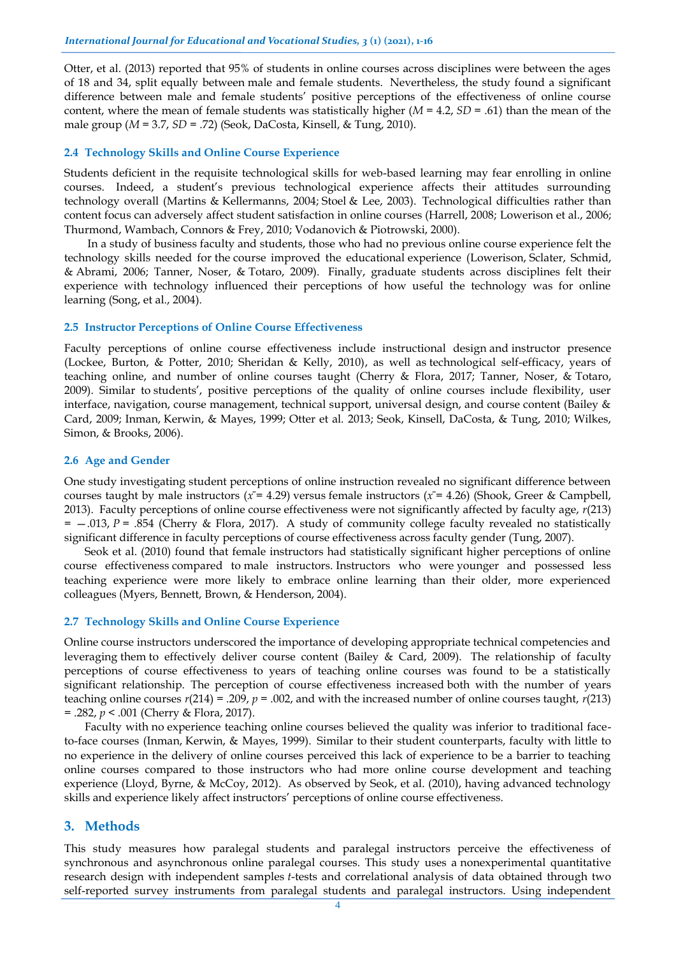Otter, et al. (2013) reported that 95% of students in online courses across disciplines were between the ages of 18 and 34, split equally between male and female students. Nevertheless, the study found a significant difference between male and female students' positive perceptions of the effectiveness of online course content, where the mean of female students was statistically higher (*M* = 4.2, *SD* = .61) than the mean of the male group (*M* = 3.7, *SD* = .72) (Seok, DaCosta, Kinsell, & Tung, 2010).

#### **2.4 Technology Skills and Online Course Experience**

Students deficient in the requisite technological skills for web-based learning may fear enrolling in online courses. Indeed, a student's previous technological experience affects their attitudes surrounding technology overall (Martins & Kellermanns, 2004; Stoel & Lee, 2003). Technological difficulties rather than content focus can adversely affect student satisfaction in online courses (Harrell, 2008; Lowerison et al., 2006; Thurmond, Wambach, Connors & Frey, 2010; Vodanovich & Piotrowski, 2000).

In a study of business faculty and students, those who had no previous online course experience felt the technology skills needed for the course improved the educational experience (Lowerison, Sclater, Schmid, & Abrami, 2006; Tanner, Noser, & Totaro, 2009). Finally, graduate students across disciplines felt their experience with technology influenced their perceptions of how useful the technology was for online learning (Song, et al., 2004).

#### **2.5 Instructor Perceptions of Online Course Effectiveness**

Faculty perceptions of online course effectiveness include instructional design and instructor presence (Lockee, Burton, & Potter, 2010; Sheridan & Kelly, 2010), as well as technological self-efficacy, years of teaching online, and number of online courses taught (Cherry & Flora, 2017; Tanner, Noser, & Totaro, 2009). Similar to students', positive perceptions of the quality of online courses include flexibility, user interface, navigation, course management, technical support, universal design, and course content (Bailey & Card, 2009; Inman, Kerwin, & Mayes, 1999; Otter et al. 2013; Seok, Kinsell, DaCosta, & Tung, 2010; Wilkes, Simon, & Brooks, 2006).

#### **2.6 Age and Gender**

One study investigating student perceptions of online instruction revealed no significant difference between courses taught by male instructors ( $x = 4.29$ ) versus female instructors ( $x = 4.26$ ) (Shook, Greer & Campbell, 2013). Faculty perceptions of online course effectiveness were not significantly affected by faculty age, *r*(213) = —.013, *P* = .854 (Cherry & Flora, 2017). A study of community college faculty revealed no statistically significant difference in faculty perceptions of course effectiveness across faculty gender (Tung, 2007).

Seok et al. (2010) found that female instructors had statistically significant higher perceptions of online course effectiveness compared to male instructors. Instructors who were younger and possessed less teaching experience were more likely to embrace online learning than their older, more experienced colleagues (Myers, Bennett, Brown, & Henderson, 2004).

## **2.7 Technology Skills and Online Course Experience**

Online course instructors underscored the importance of developing appropriate technical competencies and leveraging them to effectively deliver course content (Bailey & Card, 2009). The relationship of faculty perceptions of course effectiveness to years of teaching online courses was found to be a statistically significant relationship. The perception of course effectiveness increased both with the number of years teaching online courses  $r(214) = .209$ ,  $p = .002$ , and with the increased number of online courses taught,  $r(213)$ = .282, *p* < .001 (Cherry & Flora, 2017).

Faculty with no experience teaching online courses believed the quality was inferior to traditional faceto-face courses (Inman, Kerwin, & Mayes, 1999). Similar to their student counterparts, faculty with little to no experience in the delivery of online courses perceived this lack of experience to be a barrier to teaching online courses compared to those instructors who had more online course development and teaching experience (Lloyd, Byrne, & McCoy, 2012). As observed by Seok, et al. (2010), having advanced technology skills and experience likely affect instructors' perceptions of online course effectiveness.

## **3. Methods**

This study measures how paralegal students and paralegal instructors perceive the effectiveness of synchronous and asynchronous online paralegal courses. This study uses a nonexperimental quantitative research design with independent samples *t*-tests and correlational analysis of data obtained through two self-reported survey instruments from paralegal students and paralegal instructors. Using independent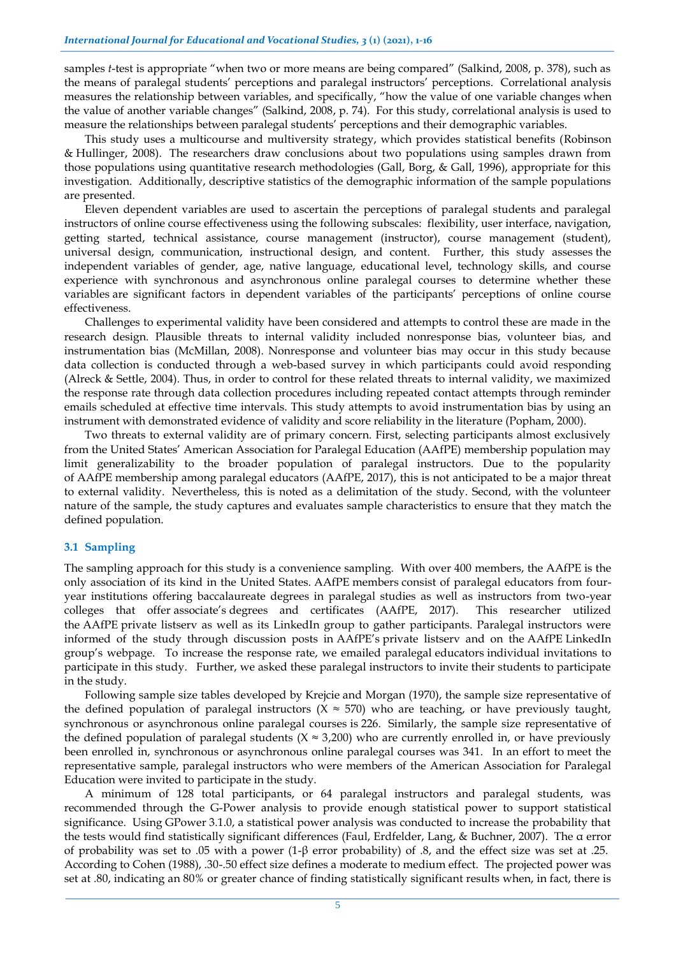samples *t*-test is appropriate "when two or more means are being compared" (Salkind, 2008, p. 378), such as the means of paralegal students' perceptions and paralegal instructors' perceptions. Correlational analysis measures the relationship between variables, and specifically, "how the value of one variable changes when the value of another variable changes" (Salkind, 2008, p. 74). For this study, correlational analysis is used to measure the relationships between paralegal students' perceptions and their demographic variables.

This study uses a multicourse and multiversity strategy, which provides statistical benefits (Robinson & Hullinger, 2008). The researchers draw conclusions about two populations using samples drawn from those populations using quantitative research methodologies (Gall, Borg, & Gall, 1996), appropriate for this investigation. Additionally, descriptive statistics of the demographic information of the sample populations are presented.

Eleven dependent variables are used to ascertain the perceptions of paralegal students and paralegal instructors of online course effectiveness using the following subscales: flexibility, user interface, navigation, getting started, technical assistance, course management (instructor), course management (student), universal design, communication, instructional design, and content. Further, this study assesses the independent variables of gender, age, native language, educational level, technology skills, and course experience with synchronous and asynchronous online paralegal courses to determine whether these variables are significant factors in dependent variables of the participants' perceptions of online course effectiveness.

Challenges to experimental validity have been considered and attempts to control these are made in the research design. Plausible threats to internal validity included nonresponse bias, volunteer bias, and instrumentation bias (McMillan, 2008). Nonresponse and volunteer bias may occur in this study because data collection is conducted through a web-based survey in which participants could avoid responding (Alreck & Settle, 2004). Thus, in order to control for these related threats to internal validity, we maximized the response rate through data collection procedures including repeated contact attempts through reminder emails scheduled at effective time intervals. This study attempts to avoid instrumentation bias by using an instrument with demonstrated evidence of validity and score reliability in the literature (Popham, 2000).

Two threats to external validity are of primary concern. First, selecting participants almost exclusively from the United States' American Association for Paralegal Education (AAfPE) membership population may limit generalizability to the broader population of paralegal instructors. Due to the popularity of AAfPE membership among paralegal educators (AAfPE, 2017), this is not anticipated to be a major threat to external validity. Nevertheless, this is noted as a delimitation of the study. Second, with the volunteer nature of the sample, the study captures and evaluates sample characteristics to ensure that they match the defined population.

### **3.1 Sampling**

The sampling approach for this study is a convenience sampling. With over 400 members, the AAfPE is the only association of its kind in the United States. AAfPE members consist of paralegal educators from fouryear institutions offering baccalaureate degrees in paralegal studies as well as instructors from two-year colleges that offer associate's degrees and certificates (AAfPE, 2017). This researcher utilized the AAfPE private listserv as well as its LinkedIn group to gather participants. Paralegal instructors were informed of the study through discussion posts in AAfPE's private listserv and on the AAfPE LinkedIn group's webpage. To increase the response rate, we emailed paralegal educators individual invitations to participate in this study. Further, we asked these paralegal instructors to invite their students to participate in the study.

Following sample size tables developed by Krejcie and Morgan (1970), the sample size representative of the defined population of paralegal instructors ( $X \approx 570$ ) who are teaching, or have previously taught, synchronous or asynchronous online paralegal courses is 226. Similarly, the sample size representative of the defined population of paralegal students ( $X \approx 3,200$ ) who are currently enrolled in, or have previously been enrolled in, synchronous or asynchronous online paralegal courses was 341. In an effort to meet the representative sample, paralegal instructors who were members of the American Association for Paralegal Education were invited to participate in the study.

A minimum of 128 total participants, or 64 paralegal instructors and paralegal students, was recommended through the G-Power analysis to provide enough statistical power to support statistical significance. Using GPower 3.1.0, a statistical power analysis was conducted to increase the probability that the tests would find statistically significant differences (Faul, Erdfelder, Lang, & Buchner, 2007). The α error of probability was set to .05 with a power (1-β error probability) of .8, and the effect size was set at .25. According to Cohen (1988), .30-.50 effect size defines a moderate to medium effect. The projected power was set at .80, indicating an 80% or greater chance of finding statistically significant results when, in fact, there is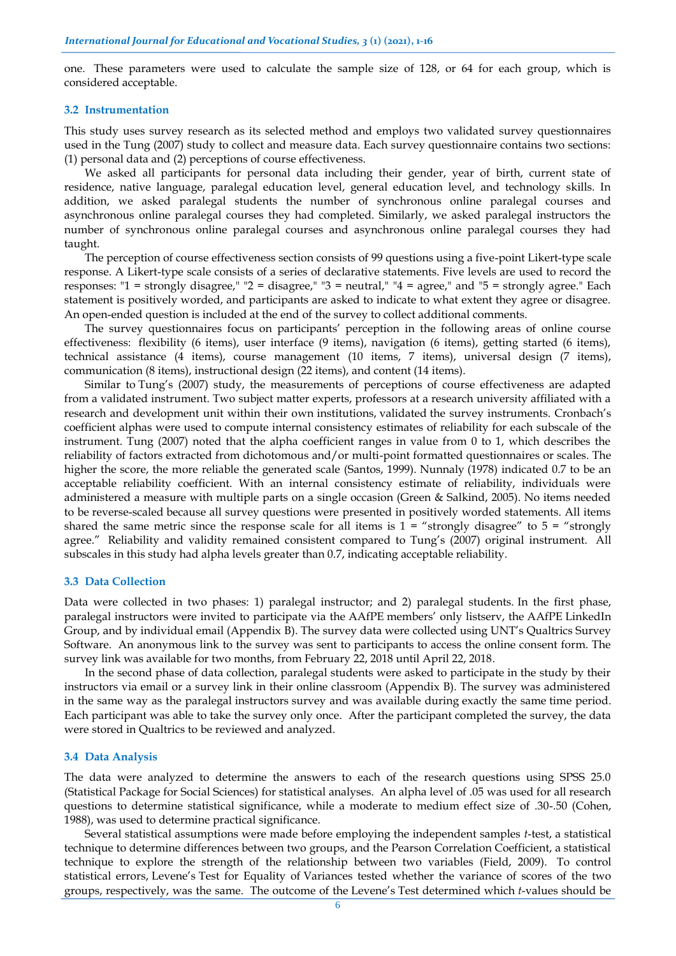one. These parameters were used to calculate the sample size of 128, or 64 for each group, which is considered acceptable.

#### **3.2 Instrumentation**

This study uses survey research as its selected method and employs two validated survey questionnaires used in the Tung (2007) study to collect and measure data. Each survey questionnaire contains two sections: (1) personal data and (2) perceptions of course effectiveness.

We asked all participants for personal data including their gender, year of birth, current state of residence, native language, paralegal education level, general education level, and technology skills. In addition, we asked paralegal students the number of synchronous online paralegal courses and asynchronous online paralegal courses they had completed. Similarly, we asked paralegal instructors the number of synchronous online paralegal courses and asynchronous online paralegal courses they had taught.

The perception of course effectiveness section consists of 99 questions using a five-point Likert-type scale response. A Likert-type scale consists of a series of declarative statements. Five levels are used to record the responses: "1 = strongly disagree," "2 = disagree," "3 = neutral," "4 = agree," and "5 = strongly agree." Each statement is positively worded, and participants are asked to indicate to what extent they agree or disagree. An open-ended question is included at the end of the survey to collect additional comments.

The survey questionnaires focus on participants' perception in the following areas of online course effectiveness: flexibility (6 items), user interface (9 items), navigation (6 items), getting started (6 items), technical assistance (4 items), course management (10 items, 7 items), universal design (7 items), communication (8 items), instructional design (22 items), and content (14 items).

Similar to Tung's (2007) study, the measurements of perceptions of course effectiveness are adapted from a validated instrument. Two subject matter experts, professors at a research university affiliated with a research and development unit within their own institutions, validated the survey instruments. Cronbach's coefficient alphas were used to compute internal consistency estimates of reliability for each subscale of the instrument. Tung (2007) noted that the alpha coefficient ranges in value from 0 to 1, which describes the reliability of factors extracted from dichotomous and/or multi-point formatted questionnaires or scales. The higher the score, the more reliable the generated scale (Santos, 1999). Nunnaly (1978) indicated 0.7 to be an acceptable reliability coefficient. With an internal consistency estimate of reliability, individuals were administered a measure with multiple parts on a single occasion (Green & Salkind, 2005). No items needed to be reverse-scaled because all survey questions were presented in positively worded statements. All items shared the same metric since the response scale for all items is  $1 =$  "strongly disagree" to  $5 =$  "strongly" agree." Reliability and validity remained consistent compared to Tung's (2007) original instrument. All subscales in this study had alpha levels greater than 0.7, indicating acceptable reliability.

#### **3.3 Data Collection**

Data were collected in two phases: 1) paralegal instructor; and 2) paralegal students. In the first phase, paralegal instructors were invited to participate via the AAfPE members' only listserv, the AAfPE LinkedIn Group, and by individual email (Appendix B). The survey data were collected using UNT's Qualtrics Survey Software. An anonymous link to the survey was sent to participants to access the online consent form. The survey link was available for two months, from February 22, 2018 until April 22, 2018.

In the second phase of data collection, paralegal students were asked to participate in the study by their instructors via email or a survey link in their online classroom (Appendix B). The survey was administered in the same way as the paralegal instructors survey and was available during exactly the same time period. Each participant was able to take the survey only once. After the participant completed the survey, the data were stored in Qualtrics to be reviewed and analyzed.

#### **3.4 Data Analysis**

The data were analyzed to determine the answers to each of the research questions using SPSS 25.0 (Statistical Package for Social Sciences) for statistical analyses. An alpha level of .05 was used for all research questions to determine statistical significance, while a moderate to medium effect size of .30-.50 (Cohen, 1988), was used to determine practical significance.

Several statistical assumptions were made before employing the independent samples *t*-test, a statistical technique to determine differences between two groups, and the Pearson Correlation Coefficient, a statistical technique to explore the strength of the relationship between two variables (Field, 2009). To control statistical errors, Levene's Test for Equality of Variances tested whether the variance of scores of the two groups, respectively, was the same. The outcome of the Levene's Test determined which *t*-values should be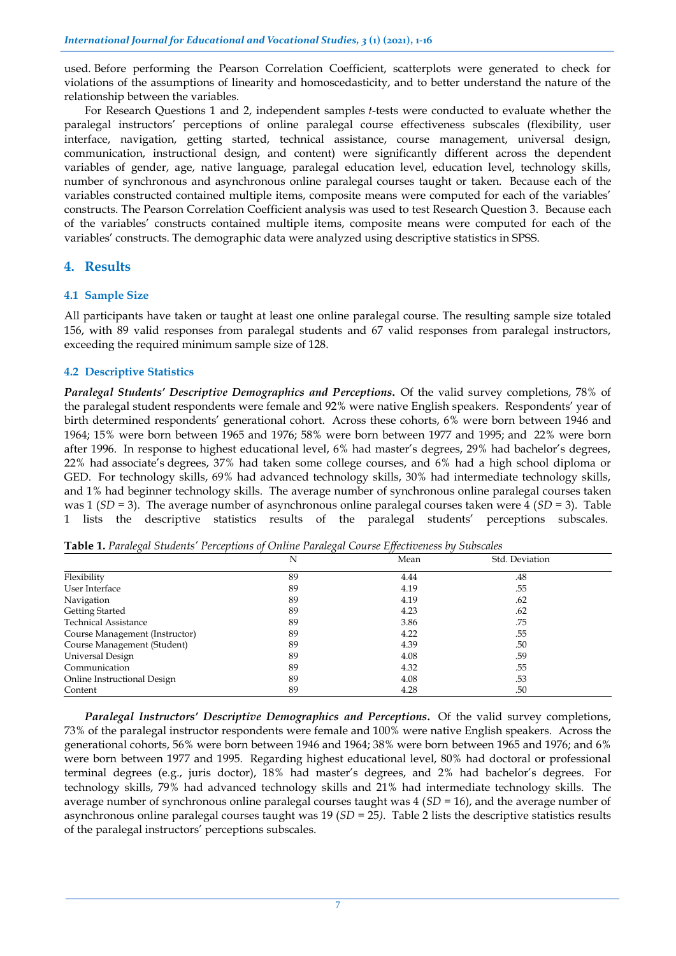used. Before performing the Pearson Correlation Coefficient, scatterplots were generated to check for violations of the assumptions of linearity and homoscedasticity, and to better understand the nature of the relationship between the variables.

For Research Questions 1 and 2, independent samples *t*-tests were conducted to evaluate whether the paralegal instructors' perceptions of online paralegal course effectiveness subscales (flexibility, user interface, navigation, getting started, technical assistance, course management, universal design, communication, instructional design, and content) were significantly different across the dependent variables of gender, age, native language, paralegal education level, education level, technology skills, number of synchronous and asynchronous online paralegal courses taught or taken. Because each of the variables constructed contained multiple items, composite means were computed for each of the variables' constructs. The Pearson Correlation Coefficient analysis was used to test Research Question 3. Because each of the variables' constructs contained multiple items, composite means were computed for each of the variables' constructs. The demographic data were analyzed using descriptive statistics in SPSS.

## **4. Results**

## **4.1 Sample Size**

All participants have taken or taught at least one online paralegal course. The resulting sample size totaled 156, with 89 valid responses from paralegal students and 67 valid responses from paralegal instructors, exceeding the required minimum sample size of 128.

## **4.2 Descriptive Statistics**

*Paralegal Students' Descriptive Demographics and Perceptions***.** Of the valid survey completions, 78% of the paralegal student respondents were female and 92% were native English speakers. Respondents' year of birth determined respondents' generational cohort. Across these cohorts, 6% were born between 1946 and 1964; 15% were born between 1965 and 1976; 58% were born between 1977 and 1995; and 22% were born after 1996. In response to highest educational level, 6% had master's degrees, 29% had bachelor's degrees, 22% had associate's degrees, 37% had taken some college courses, and 6% had a high school diploma or GED. For technology skills, 69% had advanced technology skills, 30% had intermediate technology skills, and 1% had beginner technology skills. The average number of synchronous online paralegal courses taken was 1 (*SD* = 3). The average number of asynchronous online paralegal courses taken were 4 (*SD* = 3). Table 1 lists the descriptive statistics results of the paralegal students' perceptions subscales.

| Table 1. Paralegal Students' Perceptions of Online Paralegal Course Effectiveness by Subscales |  |  |  |  |
|------------------------------------------------------------------------------------------------|--|--|--|--|
|------------------------------------------------------------------------------------------------|--|--|--|--|

|                                | N  | Mean | Std. Deviation |  |
|--------------------------------|----|------|----------------|--|
| Flexibility                    | 89 | 4.44 | .48            |  |
| User Interface                 | 89 | 4.19 | .55            |  |
| Navigation                     | 89 | 4.19 | .62            |  |
| Getting Started                | 89 | 4.23 | .62            |  |
| <b>Technical Assistance</b>    | 89 | 3.86 | .75            |  |
| Course Management (Instructor) | 89 | 4.22 | .55            |  |
| Course Management (Student)    | 89 | 4.39 | .50            |  |
| Universal Design               | 89 | 4.08 | .59            |  |
| Communication                  | 89 | 4.32 | .55            |  |
| Online Instructional Design    | 89 | 4.08 | .53            |  |
| Content                        | 89 | 4.28 | .50            |  |

*Paralegal Instructors' Descriptive Demographics and Perceptions***.** Of the valid survey completions, 73% of the paralegal instructor respondents were female and 100% were native English speakers. Across the generational cohorts, 56% were born between 1946 and 1964; 38% were born between 1965 and 1976; and 6% were born between 1977 and 1995. Regarding highest educational level, 80% had doctoral or professional terminal degrees (e.g., juris doctor), 18% had master's degrees, and 2% had bachelor's degrees. For technology skills, 79% had advanced technology skills and 21% had intermediate technology skills. The average number of synchronous online paralegal courses taught was 4 (*SD* = 16), and the average number of asynchronous online paralegal courses taught was 19 (*SD* = 25*)*. Table 2 lists the descriptive statistics results of the paralegal instructors' perceptions subscales.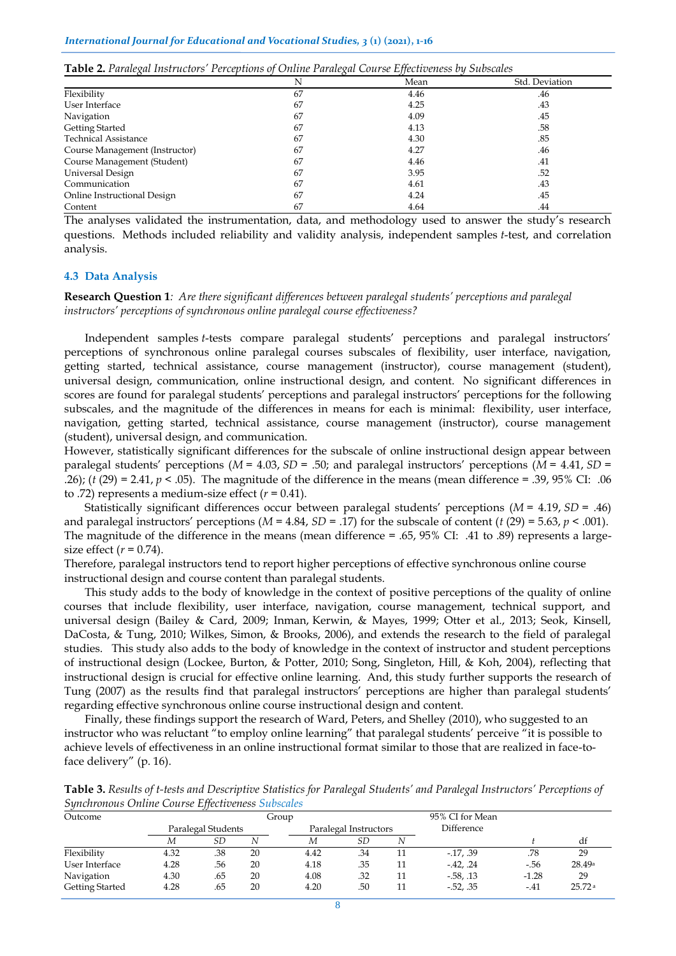| Table 2. Paralegal Instructors' Perceptions of Online Paralegal Course Effectiveness by Subscales |  |  |  |
|---------------------------------------------------------------------------------------------------|--|--|--|
|---------------------------------------------------------------------------------------------------|--|--|--|

|                                | N  | Mean | Std. Deviation |
|--------------------------------|----|------|----------------|
| Flexibility                    | 67 | 4.46 | .46            |
| User Interface                 | 67 | 4.25 | .43            |
| Navigation                     | 67 | 4.09 | .45            |
| Getting Started                | 67 | 4.13 | .58            |
| <b>Technical Assistance</b>    | 67 | 4.30 | .85            |
| Course Management (Instructor) | 67 | 4.27 | .46            |
| Course Management (Student)    | 67 | 4.46 | .41            |
| Universal Design               | 67 | 3.95 | .52            |
| Communication                  | 67 | 4.61 | .43            |
| Online Instructional Design    | 67 | 4.24 | .45            |
| Content                        | 67 | 4.64 | .44            |

The analyses validated the instrumentation, data, and methodology used to answer the study's research questions. Methods included reliability and validity analysis, independent samples *t*-test, and correlation analysis.

#### **4.3 Data Analysis**

**Research Question 1***: Are there significant differences between paralegal students' perceptions and paralegal instructors' perceptions of synchronous online paralegal course effectiveness?*

Independent samples *t*-tests compare paralegal students' perceptions and paralegal instructors' perceptions of synchronous online paralegal courses subscales of flexibility, user interface, navigation, getting started, technical assistance, course management (instructor), course management (student), universal design, communication, online instructional design, and content. No significant differences in scores are found for paralegal students' perceptions and paralegal instructors' perceptions for the following subscales, and the magnitude of the differences in means for each is minimal: flexibility, user interface, navigation, getting started, technical assistance, course management (instructor), course management (student), universal design, and communication.

However, statistically significant differences for the subscale of online instructional design appear between paralegal students' perceptions (*M* = 4.03, *SD* = .50; and paralegal instructors' perceptions (*M* = 4.41, *SD* = .26); (*t* (29) = 2.41, *p* < .05). The magnitude of the difference in the means (mean difference = .39, 95% CI: .06 to .72) represents a medium-size effect  $(r = 0.41)$ .

Statistically significant differences occur between paralegal students' perceptions (*M* = 4.19, *SD* = .46) and paralegal instructors' perceptions  $(M = 4.84, SD = .17)$  for the subscale of content  $(t (29) = 5.63, p < .001)$ . The magnitude of the difference in the means (mean difference = .65, 95% CI: .41 to .89) represents a largesize effect  $(r = 0.74)$ .

Therefore, paralegal instructors tend to report higher perceptions of effective synchronous online course instructional design and course content than paralegal students.

This study adds to the body of knowledge in the context of positive perceptions of the quality of online courses that include flexibility, user interface, navigation, course management, technical support, and universal design (Bailey & Card, 2009; Inman, Kerwin, & Mayes, 1999; Otter et al., 2013; Seok, Kinsell, DaCosta, & Tung, 2010; Wilkes, Simon, & Brooks, 2006), and extends the research to the field of paralegal studies. This study also adds to the body of knowledge in the context of instructor and student perceptions of instructional design (Lockee, Burton, & Potter, 2010; Song, Singleton, Hill, & Koh, 2004), reflecting that instructional design is crucial for effective online learning. And, this study further supports the research of Tung (2007) as the results find that paralegal instructors' perceptions are higher than paralegal students' regarding effective synchronous online course instructional design and content.

Finally, these findings support the research of Ward, Peters, and Shelley (2010), who suggested to an instructor who was reluctant "to employ online learning" that paralegal students' perceive "it is possible to achieve levels of effectiveness in an online instructional format similar to those that are realized in face-toface delivery" (p. 16).

| omentonous Onthic Course Effectiveness Subsenies |      |                    |    |       |                       |    |                   |         |        |
|--------------------------------------------------|------|--------------------|----|-------|-----------------------|----|-------------------|---------|--------|
| Outcome                                          |      |                    |    | Group |                       |    | 95% CI for Mean   |         |        |
|                                                  |      | Paralegal Students |    |       | Paralegal Instructors |    | <b>Difference</b> |         |        |
|                                                  | М    | SD                 |    | М     | SD                    |    |                   |         | df     |
| Flexibility                                      | 4.32 | .38                | 20 | 4.42  | .34                   | 11 | $-17, .39$        | .78     | 29     |
| User Interface                                   | 4.28 | .56                | 20 | 4.18  | .35                   | 11 | $-42.24$          | $-56$   | 28.49a |
| Navigation                                       | 4.30 | .65                | 20 | 4.08  | .32                   | 11 | $-58, 13$         | $-1.28$ | 29     |
| Getting Started                                  | 4.28 | .65                | 20 | 4.20  | .50                   | 11 | $-52, .35$        | $-41$   | 25.72a |

**Table 3.** *Results of t-tests and Descriptive Statistics for Paralegal Students' and Paralegal Instructors' Perceptions of Synchronous Online Course Effectiveness Subscales*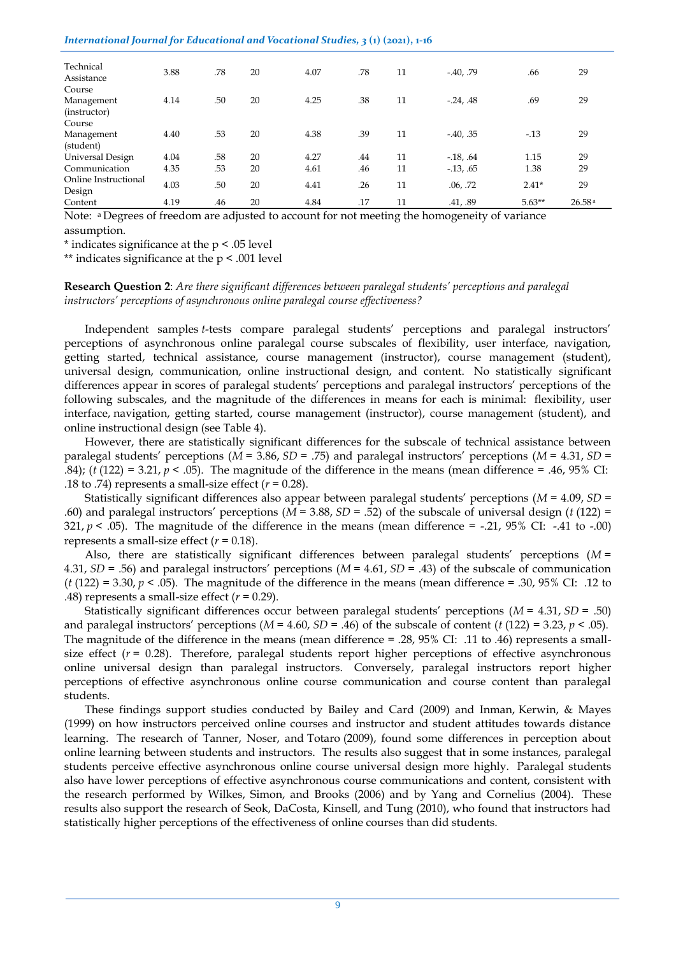#### *International Journal for Educational and Vocational Studies, 3* **(1) (2021), 1-16**

| Technical<br>Assistance        | 3.88 | .78 | 20 | 4.07 | .78 | 11 | $-40, .79$   | .66      | 29     |
|--------------------------------|------|-----|----|------|-----|----|--------------|----------|--------|
| Course                         |      |     |    |      |     |    |              |          |        |
| Management<br>(instructor)     | 4.14 | .50 | 20 | 4.25 | .38 | 11 | $-24, .48$   | .69      | 29     |
| Course                         |      |     |    |      |     |    |              |          |        |
| Management<br>(student)        | 4.40 | .53 | 20 | 4.38 | .39 | 11 | $-40, .35$   | $-13$    | 29     |
| Universal Design               | 4.04 | .58 | 20 | 4.27 | .44 | 11 | $-18, .64$   | 1.15     | 29     |
| Communication                  | 4.35 | .53 | 20 | 4.61 | .46 | 11 | $-0.13, .65$ | 1.38     | 29     |
| Online Instructional<br>Design | 4.03 | .50 | 20 | 4.41 | .26 | 11 | .06, .72     | $2.41*$  | 29     |
| Content                        | 4.19 | .46 | 20 | 4.84 | .17 | 11 | .41, .89     | $5.63**$ | 26.58a |

Note: <sup>a</sup> Degrees of freedom are adjusted to account for not meeting the homogeneity of variance assumption.

\* indicates significance at the p < .05 level

\*\* indicates significance at the p < .001 level

## **Research Question 2**: *Are there significant differences between paralegal students' perceptions and paralegal instructors' perceptions of asynchronous online paralegal course effectiveness?*

Independent samples *t*-tests compare paralegal students' perceptions and paralegal instructors' perceptions of asynchronous online paralegal course subscales of flexibility, user interface, navigation, getting started, technical assistance, course management (instructor), course management (student), universal design, communication, online instructional design, and content. No statistically significant differences appear in scores of paralegal students' perceptions and paralegal instructors' perceptions of the following subscales, and the magnitude of the differences in means for each is minimal: flexibility, user interface, navigation, getting started, course management (instructor), course management (student), and online instructional design (see Table 4).

However, there are statistically significant differences for the subscale of technical assistance between paralegal students' perceptions (*M* = 3.86, *SD* = .75) and paralegal instructors' perceptions (*M* = 4.31, *SD* = .84); ( $t$  (122) = 3.21,  $p$  < .05). The magnitude of the difference in the means (mean difference = .46, 95% CI: .18 to .74) represents a small-size effect  $(r = 0.28)$ .

Statistically significant differences also appear between paralegal students' perceptions (*M* = 4.09, *SD* = .60) and paralegal instructors' perceptions (*M* = 3.88, *SD* = .52) of the subscale of universal design (*t* (122) = 321,  $p < .05$ ). The magnitude of the difference in the means (mean difference = -.21, 95% CI: -.41 to -.00) represents a small-size effect  $(r = 0.18)$ .

Also, there are statistically significant differences between paralegal students' perceptions (*M* = 4.31, *SD* = .56) and paralegal instructors' perceptions (*M* = 4.61, *SD* = .43) of the subscale of communication  $(t(122) = 3.30, p < .05)$ . The magnitude of the difference in the means (mean difference = .30, 95% CI: .12 to .48) represents a small-size effect  $(r = 0.29)$ .

Statistically significant differences occur between paralegal students' perceptions (*M* = 4.31, *SD* = .50) and paralegal instructors' perceptions (*M* = 4.60, *SD* = .46) of the subscale of content (*t* (122) = 3.23, *p* < .05). The magnitude of the difference in the means (mean difference = .28, 95% CI: .11 to .46) represents a smallsize effect  $(r = 0.28)$ . Therefore, paralegal students report higher perceptions of effective asynchronous online universal design than paralegal instructors. Conversely, paralegal instructors report higher perceptions of effective asynchronous online course communication and course content than paralegal students.

These findings support studies conducted by Bailey and Card (2009) and Inman, Kerwin, & Mayes (1999) on how instructors perceived online courses and instructor and student attitudes towards distance learning. The research of Tanner, Noser, and Totaro (2009), found some differences in perception about online learning between students and instructors. The results also suggest that in some instances, paralegal students perceive effective asynchronous online course universal design more highly. Paralegal students also have lower perceptions of effective asynchronous course communications and content, consistent with the research performed by Wilkes, Simon, and Brooks (2006) and by Yang and Cornelius (2004). These results also support the research of Seok, DaCosta, Kinsell, and Tung (2010), who found that instructors had statistically higher perceptions of the effectiveness of online courses than did students.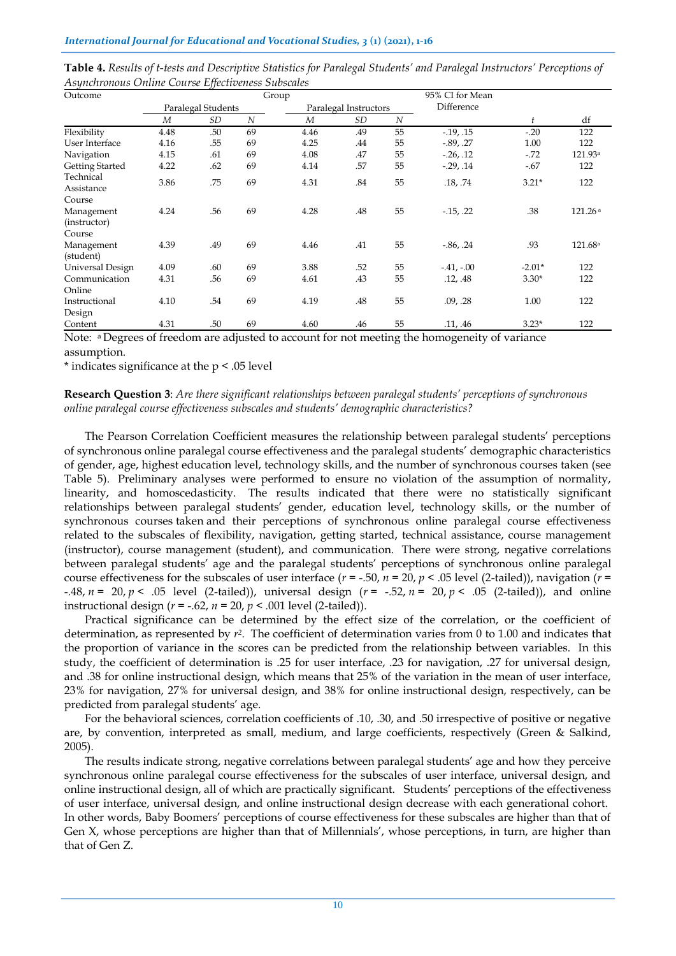| Outcome                              |      |                    |                  | Group          |                       |                | 95% CI for Mean |          |                     |
|--------------------------------------|------|--------------------|------------------|----------------|-----------------------|----------------|-----------------|----------|---------------------|
|                                      |      | Paralegal Students |                  |                | Paralegal Instructors |                | Difference      |          |                     |
|                                      | M    | <b>SD</b>          | $\boldsymbol{N}$ | $\overline{M}$ | SD                    | $\overline{N}$ |                 | t        | df                  |
| Flexibility                          | 4.48 | .50                | 69               | 4.46           | .49                   | 55             | $-19, 15$       | $-20$    | 122                 |
| User Interface                       | 4.16 | .55                | 69               | 4.25           | .44                   | 55             | $-0.89, .27$    | 1.00     | 122                 |
| Navigation                           | 4.15 | .61                | 69               | 4.08           | .47                   | 55             | $-26, 12$       | $-.72$   | 121.93 <sup>a</sup> |
| <b>Getting Started</b>               | 4.22 | .62                | 69               | 4.14           | .57                   | 55             | $-0.29, 0.14$   | $-.67$   | 122                 |
| Technical<br>Assistance              | 3.86 | .75                | 69               | 4.31           | .84                   | 55             | .18, .74        | $3.21*$  | 122                 |
| Course                               |      |                    |                  |                |                       |                |                 |          |                     |
| Management<br>(instructor)<br>Course | 4.24 | .56                | 69               | 4.28           | .48                   | 55             | $-15, 22$       | .38      | 121.26a             |
| Management<br>(student)              | 4.39 | .49                | 69               | 4.46           | .41                   | 55             | $-0.86, .24$    | .93      | 121.68a             |
| Universal Design                     | 4.09 | .60                | 69               | 3.88           | .52                   | 55             | $-.41, -.00$    | $-2.01*$ | 122                 |
| Communication                        | 4.31 | .56                | 69               | 4.61           | .43                   | 55             | .12, .48        | $3.30*$  | 122                 |
| Online                               |      |                    |                  |                |                       |                |                 |          |                     |
| Instructional<br>Design              | 4.10 | .54                | 69               | 4.19           | .48                   | 55             | .09, .28        | 1.00     | 122                 |
| Content                              | 4.31 | .50                | 69               | 4.60           | .46                   | 55             | .11, .46        | $3.23*$  | 122                 |

**Table 4.** *Results of t-tests and Descriptive Statistics for Paralegal Students' and Paralegal Instructors' Perceptions of Asynchronous Online Course Effectiveness Subscales*

Note: <sup>a</sup> Degrees of freedom are adjusted to account for not meeting the homogeneity of variance assumption.

\* indicates significance at the p < .05 level

## **Research Question 3**: *Are there significant relationships between paralegal students' perceptions of synchronous online paralegal course effectiveness subscales and students' demographic characteristics?*

The Pearson Correlation Coefficient measures the relationship between paralegal students' perceptions of synchronous online paralegal course effectiveness and the paralegal students' demographic characteristics of gender, age, highest education level, technology skills, and the number of synchronous courses taken (see Table 5). Preliminary analyses were performed to ensure no violation of the assumption of normality, linearity, and homoscedasticity. The results indicated that there were no statistically significant relationships between paralegal students' gender, education level, technology skills, or the number of synchronous courses taken and their perceptions of synchronous online paralegal course effectiveness related to the subscales of flexibility, navigation, getting started, technical assistance, course management (instructor), course management (student), and communication. There were strong, negative correlations between paralegal students' age and the paralegal students' perceptions of synchronous online paralegal course effectiveness for the subscales of user interface  $(r = -.50, n = 20, p < .05$  level (2-tailed)), navigation  $(r = .50, n = 20, p < .05$ -.48, *n* = 20, *p* < .05 level (2-tailed)), universal design (*r* = -.52, *n* = 20, *p* < .05 (2-tailed)), and online instructional design ( $r = -.62$ ,  $n = 20$ ,  $p < .001$  level (2-tailed)).

Practical significance can be determined by the effect size of the correlation, or the coefficient of determination, as represented by  $r^2$ . The coefficient of determination varies from 0 to 1.00 and indicates that the proportion of variance in the scores can be predicted from the relationship between variables. In this study, the coefficient of determination is .25 for user interface, .23 for navigation, .27 for universal design, and .38 for online instructional design, which means that 25% of the variation in the mean of user interface, 23% for navigation, 27% for universal design, and 38% for online instructional design, respectively, can be predicted from paralegal students' age.

For the behavioral sciences, correlation coefficients of .10, .30, and .50 irrespective of positive or negative are, by convention, interpreted as small, medium, and large coefficients, respectively (Green & Salkind, 2005).

The results indicate strong, negative correlations between paralegal students' age and how they perceive synchronous online paralegal course effectiveness for the subscales of user interface, universal design, and online instructional design, all of which are practically significant. Students' perceptions of the effectiveness of user interface, universal design, and online instructional design decrease with each generational cohort. In other words, Baby Boomers' perceptions of course effectiveness for these subscales are higher than that of Gen X, whose perceptions are higher than that of Millennials', whose perceptions, in turn, are higher than that of Gen Z.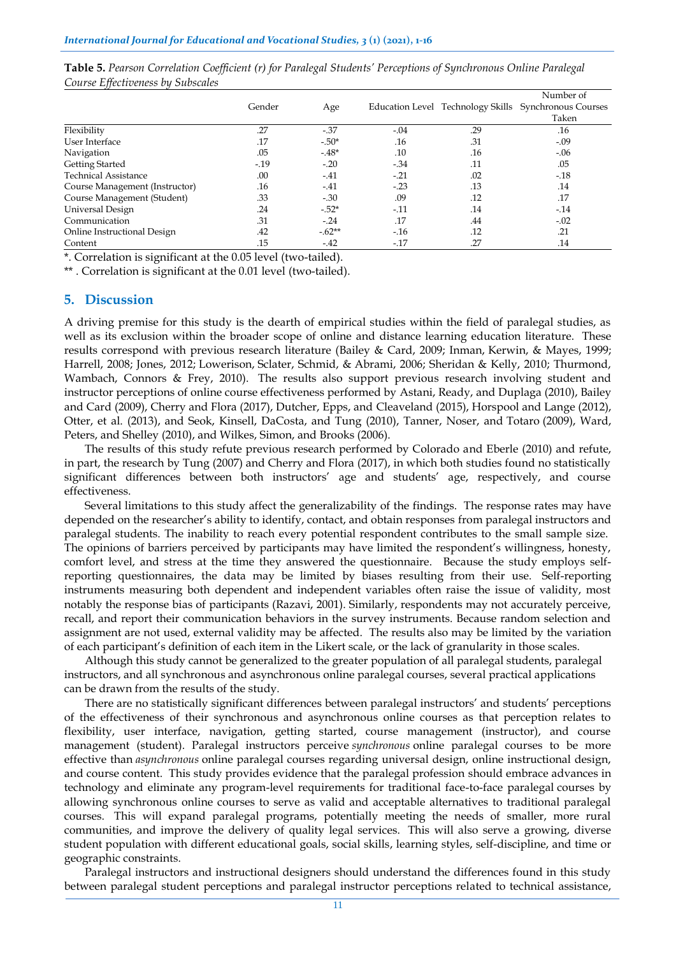| . .                            |         |          |        |     | Number of                                             |
|--------------------------------|---------|----------|--------|-----|-------------------------------------------------------|
|                                | Gender  | Age      |        |     | Education Level Technology Skills Synchronous Courses |
|                                |         |          |        |     | Taken                                                 |
| Flexibility                    | .27     | $-37$    | $-.04$ | .29 | .16                                                   |
| User Interface                 | .17     | $-.50*$  | .16    | .31 | $-.09$                                                |
| Navigation                     | .05     | $-48*$   | .10    | .16 | $-.06$                                                |
| Getting Started                | $-0.19$ | $-.20$   | $-.34$ | .11 | .05                                                   |
| <b>Technical Assistance</b>    | .00     | $-41$    | $-.21$ | .02 | $-.18$                                                |
| Course Management (Instructor) | .16     | $-41$    | $-.23$ | .13 | .14                                                   |
| Course Management (Student)    | .33     | $-.30$   | .09    | .12 | .17                                                   |
| Universal Design               | .24     | $-.52*$  | $-.11$ | .14 | $-14$                                                 |
| Communication                  | .31     | $-.24$   | .17    | .44 | $-.02$                                                |
| Online Instructional Design    | .42     | $-.62**$ | $-16$  | .12 | .21                                                   |
| Content                        | .15     | $-42$    | $-17$  | .27 | .14                                                   |

**Table 5.** *Pearson Correlation Coefficient (r) for Paralegal Students' Perceptions of Synchronous Online Paralegal Course Effectiveness by Subscales*

\*. Correlation is significant at the 0.05 level (two-tailed).

\*\* . Correlation is significant at the 0.01 level (two-tailed).

## **5. Discussion**

A driving premise for this study is the dearth of empirical studies within the field of paralegal studies, as well as its exclusion within the broader scope of online and distance learning education literature. These results correspond with previous research literature (Bailey & Card, 2009; Inman, Kerwin, & Mayes, 1999; Harrell, 2008; Jones, 2012; Lowerison, Sclater, Schmid, & Abrami, 2006; Sheridan & Kelly, 2010; Thurmond, Wambach, Connors & Frey, 2010). The results also support previous research involving student and instructor perceptions of online course effectiveness performed by Astani, Ready, and Duplaga (2010), Bailey and Card (2009), Cherry and Flora (2017), Dutcher, Epps, and Cleaveland (2015), Horspool and Lange (2012), Otter, et al. (2013), and Seok, Kinsell, DaCosta, and Tung (2010), Tanner, Noser, and Totaro (2009), Ward, Peters, and Shelley (2010), and Wilkes, Simon, and Brooks (2006).

The results of this study refute previous research performed by Colorado and Eberle (2010) and refute, in part, the research by Tung (2007) and Cherry and Flora (2017), in which both studies found no statistically significant differences between both instructors' age and students' age, respectively, and course effectiveness.

Several limitations to this study affect the generalizability of the findings. The response rates may have depended on the researcher's ability to identify, contact, and obtain responses from paralegal instructors and paralegal students. The inability to reach every potential respondent contributes to the small sample size. The opinions of barriers perceived by participants may have limited the respondent's willingness, honesty, comfort level, and stress at the time they answered the questionnaire. Because the study employs selfreporting questionnaires, the data may be limited by biases resulting from their use. Self-reporting instruments measuring both dependent and independent variables often raise the issue of validity, most notably the response bias of participants (Razavi, 2001). Similarly, respondents may not accurately perceive, recall, and report their communication behaviors in the survey instruments. Because random selection and assignment are not used, external validity may be affected. The results also may be limited by the variation of each participant's definition of each item in the Likert scale, or the lack of granularity in those scales.

Although this study cannot be generalized to the greater population of all paralegal students, paralegal instructors, and all synchronous and asynchronous online paralegal courses, several practical applications can be drawn from the results of the study.

There are no statistically significant differences between paralegal instructors' and students' perceptions of the effectiveness of their synchronous and asynchronous online courses as that perception relates to flexibility, user interface, navigation, getting started, course management (instructor), and course management (student). Paralegal instructors perceive *synchronous* online paralegal courses to be more effective than *asynchronous* online paralegal courses regarding universal design, online instructional design, and course content. This study provides evidence that the paralegal profession should embrace advances in technology and eliminate any program-level requirements for traditional face-to-face paralegal courses by allowing synchronous online courses to serve as valid and acceptable alternatives to traditional paralegal courses. This will expand paralegal programs, potentially meeting the needs of smaller, more rural communities, and improve the delivery of quality legal services. This will also serve a growing, diverse student population with different educational goals, social skills, learning styles, self-discipline, and time or geographic constraints.

Paralegal instructors and instructional designers should understand the differences found in this study between paralegal student perceptions and paralegal instructor perceptions related to technical assistance,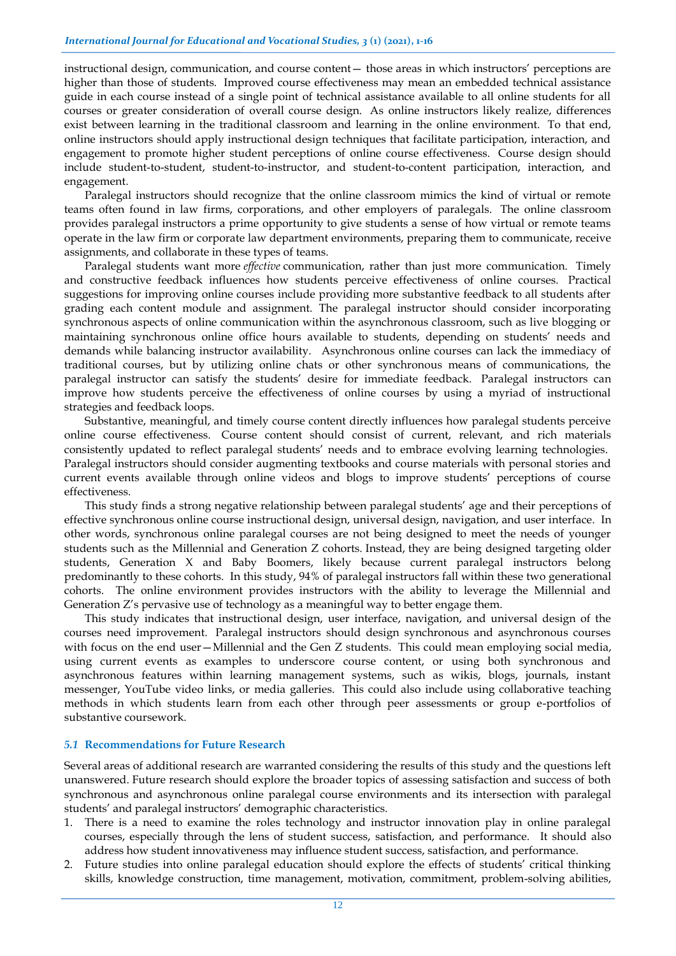instructional design, communication, and course content— those areas in which instructors' perceptions are higher than those of students. Improved course effectiveness may mean an embedded technical assistance guide in each course instead of a single point of technical assistance available to all online students for all courses or greater consideration of overall course design. As online instructors likely realize, differences exist between learning in the traditional classroom and learning in the online environment. To that end, online instructors should apply instructional design techniques that facilitate participation, interaction, and engagement to promote higher student perceptions of online course effectiveness. Course design should include student-to-student, student-to-instructor, and student-to-content participation, interaction, and engagement.

Paralegal instructors should recognize that the online classroom mimics the kind of virtual or remote teams often found in law firms, corporations, and other employers of paralegals. The online classroom provides paralegal instructors a prime opportunity to give students a sense of how virtual or remote teams operate in the law firm or corporate law department environments, preparing them to communicate, receive assignments, and collaborate in these types of teams.

Paralegal students want more *effective* communication, rather than just more communication. Timely and constructive feedback influences how students perceive effectiveness of online courses. Practical suggestions for improving online courses include providing more substantive feedback to all students after grading each content module and assignment. The paralegal instructor should consider incorporating synchronous aspects of online communication within the asynchronous classroom, such as live blogging or maintaining synchronous online office hours available to students, depending on students' needs and demands while balancing instructor availability. Asynchronous online courses can lack the immediacy of traditional courses, but by utilizing online chats or other synchronous means of communications, the paralegal instructor can satisfy the students' desire for immediate feedback. Paralegal instructors can improve how students perceive the effectiveness of online courses by using a myriad of instructional strategies and feedback loops.

Substantive, meaningful, and timely course content directly influences how paralegal students perceive online course effectiveness. Course content should consist of current, relevant, and rich materials consistently updated to reflect paralegal students' needs and to embrace evolving learning technologies. Paralegal instructors should consider augmenting textbooks and course materials with personal stories and current events available through online videos and blogs to improve students' perceptions of course effectiveness.

This study finds a strong negative relationship between paralegal students' age and their perceptions of effective synchronous online course instructional design, universal design, navigation, and user interface. In other words, synchronous online paralegal courses are not being designed to meet the needs of younger students such as the Millennial and Generation Z cohorts. Instead, they are being designed targeting older students, Generation X and Baby Boomers, likely because current paralegal instructors belong predominantly to these cohorts. In this study, 94% of paralegal instructors fall within these two generational cohorts. The online environment provides instructors with the ability to leverage the Millennial and Generation Z's pervasive use of technology as a meaningful way to better engage them.

This study indicates that instructional design, user interface, navigation, and universal design of the courses need improvement. Paralegal instructors should design synchronous and asynchronous courses with focus on the end user—Millennial and the Gen Z students. This could mean employing social media, using current events as examples to underscore course content, or using both synchronous and asynchronous features within learning management systems, such as wikis, blogs, journals, instant messenger, YouTube video links, or media galleries. This could also include using collaborative teaching methods in which students learn from each other through peer assessments or group e-portfolios of substantive coursework.

### *5.1* **Recommendations for Future Research**

Several areas of additional research are warranted considering the results of this study and the questions left unanswered. Future research should explore the broader topics of assessing satisfaction and success of both synchronous and asynchronous online paralegal course environments and its intersection with paralegal students' and paralegal instructors' demographic characteristics.

- 1. There is a need to examine the roles technology and instructor innovation play in online paralegal courses, especially through the lens of student success, satisfaction, and performance. It should also address how student innovativeness may influence student success, satisfaction, and performance.
- 2. Future studies into online paralegal education should explore the effects of students' critical thinking skills, knowledge construction, time management, motivation, commitment, problem-solving abilities,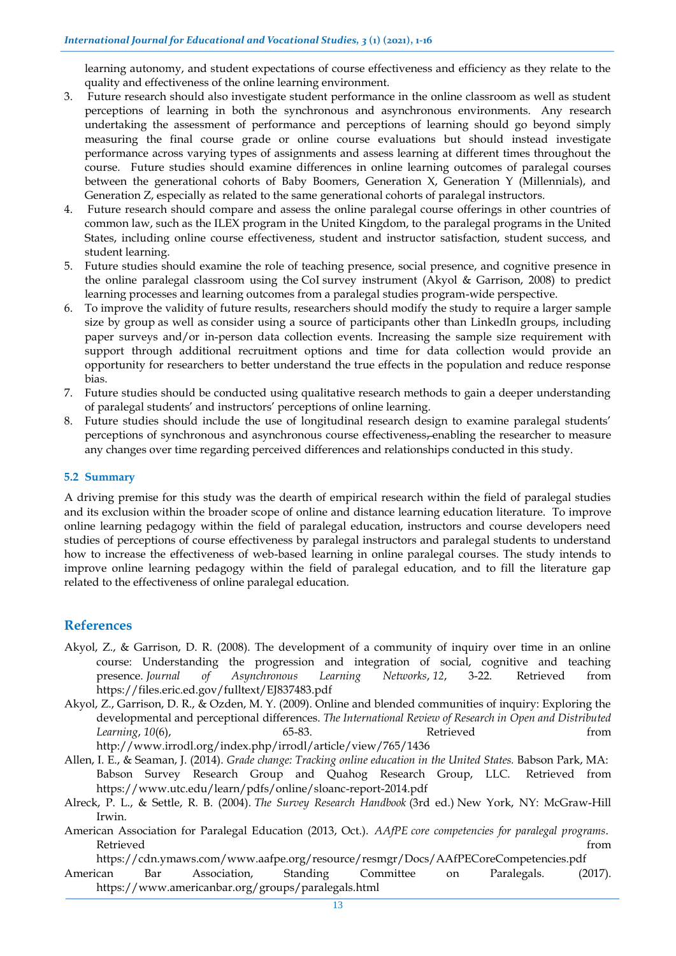learning autonomy, and student expectations of course effectiveness and efficiency as they relate to the quality and effectiveness of the online learning environment.

- 3. Future research should also investigate student performance in the online classroom as well as student perceptions of learning in both the synchronous and asynchronous environments. Any research undertaking the assessment of performance and perceptions of learning should go beyond simply measuring the final course grade or online course evaluations but should instead investigate performance across varying types of assignments and assess learning at different times throughout the course. Future studies should examine differences in online learning outcomes of paralegal courses between the generational cohorts of Baby Boomers, Generation X, Generation Y (Millennials), and Generation Z, especially as related to the same generational cohorts of paralegal instructors.
- 4. Future research should compare and assess the online paralegal course offerings in other countries of common law, such as the ILEX program in the United Kingdom, to the paralegal programs in the United States, including online course effectiveness, student and instructor satisfaction, student success, and student learning.
- 5. Future studies should examine the role of teaching presence, social presence, and cognitive presence in the online paralegal classroom using the CoI survey instrument (Akyol & Garrison, 2008) to predict learning processes and learning outcomes from a paralegal studies program-wide perspective.
- 6. To improve the validity of future results, researchers should modify the study to require a larger sample size by group as well as consider using a source of participants other than LinkedIn groups, including paper surveys and/or in-person data collection events. Increasing the sample size requirement with support through additional recruitment options and time for data collection would provide an opportunity for researchers to better understand the true effects in the population and reduce response bias.
- 7. Future studies should be conducted using qualitative research methods to gain a deeper understanding of paralegal students' and instructors' perceptions of online learning.
- 8. Future studies should include the use of longitudinal research design to examine paralegal students' perceptions of synchronous and asynchronous course effectiveness, enabling the researcher to measure any changes over time regarding perceived differences and relationships conducted in this study.

## **5.2 Summary**

A driving premise for this study was the dearth of empirical research within the field of paralegal studies and its exclusion within the broader scope of online and distance learning education literature. To improve online learning pedagogy within the field of paralegal education, instructors and course developers need studies of perceptions of course effectiveness by paralegal instructors and paralegal students to understand how to increase the effectiveness of web-based learning in online paralegal courses. The study intends to improve online learning pedagogy within the field of paralegal education, and to fill the literature gap related to the effectiveness of online paralegal education.

## **References**

Akyol, Z., & Garrison, D. R. (2008). The development of a community of inquiry over time in an online course: Understanding the progression and integration of social, cognitive and teaching presence. *Journal of Asynchronous Learning Networks*, *12*, 3-22. Retrieved from https://files.eric.ed.gov/fulltext/EJ837483.pdf

Akyol, Z., Garrison, D. R., & Ozden, M. Y. (2009). Online and blended communities of inquiry: Exploring the developmental and perceptional differences. *The International Review of Research in Open and Distributed*  Learning, 10(6), **65-83. Retrieved** from http://www.irrodl.org/index.php/irrodl/article/view/765/1436

Allen, I. E., & Seaman, J. (2014). *Grade change: Tracking online education in the United States.* Babson Park, MA: Babson Survey Research Group and Quahog Research Group, LLC. Retrieved from https://www.utc.edu/learn/pdfs/online/sloanc-report-2014.pdf

American Association for Paralegal Education (2013, Oct.). *AAfPE core competencies for paralegal programs*. Retrieved from the contract of the contract of the contract of the contract of the contract of the contract of the contract of the contract of the contract of the contract of the contract of the contract of the contract of

https://cdn.ymaws.com/www.aafpe.org/resource/resmgr/Docs/AAfPECoreCompetencies.pdf American Bar Association, Standing Committee on Paralegals. (2017). https://www.americanbar.org/groups/paralegals.html

Alreck, P. L., & Settle, R. B. (2004). *The Survey Research Handbook* (3rd ed.) New York, NY: McGraw-Hill Irwin.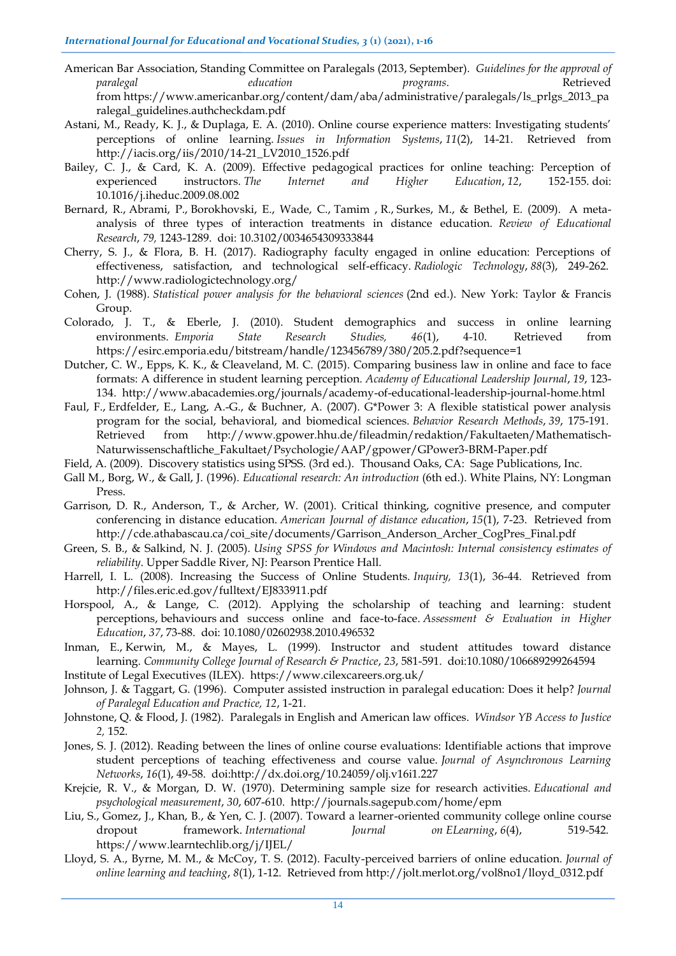- American Bar Association, Standing Committee on Paralegals (2013, September). *Guidelines for the approval of paralegal education programs*. Retrieved from https://www.americanbar.org/content/dam/aba/administrative/paralegals/ls\_prlgs\_2013\_pa ralegal\_guidelines.authcheckdam.pdf
- Astani, M., Ready, K. J., & Duplaga, E. A. (2010). Online course experience matters: Investigating students' perceptions of online learning. *Issues in Information Systems*, *11*(2), 14-21. Retrieved from http://iacis.org/iis/2010/14-21\_LV2010\_1526.pdf
- Bailey, C. J., & Card, K. A. (2009). Effective pedagogical practices for online teaching: Perception of experienced instructors. *The Internet and Higher Education*, *12*, 152-155. doi: 10.1016/j.iheduc.2009.08.002
- Bernard, R., Abrami, P., Borokhovski, E., Wade, C., Tamim , R., Surkes, M., & Bethel, E. (2009). A metaanalysis of three types of interaction treatments in distance education. *Review of Educational Research*, *79,* 1243-1289. doi: 10.3102/0034654309333844
- Cherry, S. J., & Flora, B. H. (2017). Radiography faculty engaged in online education: Perceptions of effectiveness, satisfaction, and technological self-efficacy. *Radiologic Technology*, *88*(3), 249-262. http://www.radiologictechnology.org/
- Cohen, J. (1988). *Statistical power analysis for the behavioral sciences* (2nd ed.). New York: Taylor & Francis Group.
- Colorado, J. T., & Eberle, J. (2010). Student demographics and success in online learning environments. *Emporia State Research Studies, 46*(1), 4-10. Retrieved from https://esirc.emporia.edu/bitstream/handle/123456789/380/205.2.pdf?sequence=1
- Dutcher, C. W., Epps, K. K., & Cleaveland, M. C. (2015). Comparing business law in online and face to face formats: A difference in student learning perception. *Academy of Educational Leadership Journal*, *19*, 123- 134. http://www.abacademies.org/journals/academy-of-educational-leadership-journal-home.html
- Faul, F., Erdfelder, E., Lang, A.-G., & Buchner, A. (2007). G\*Power 3: A flexible statistical power analysis program for the social, behavioral, and biomedical sciences. *Behavior Research Methods*, *39*, 175-191. Retrieved from http://www.gpower.hhu.de/fileadmin/redaktion/Fakultaeten/Mathematisch-Naturwissenschaftliche\_Fakultaet/Psychologie/AAP/gpower/GPower3-BRM-Paper.pdf
- Field, A. (2009). Discovery statistics using SPSS. (3rd ed.). Thousand Oaks, CA: Sage Publications, Inc.
- Gall M., Borg, W., & Gall, J. (1996). *Educational research: An introduction* (6th ed.). White Plains, NY: Longman Press.
- Garrison, D. R., Anderson, T., & Archer, W. (2001). Critical thinking, cognitive presence, and computer conferencing in distance education. *American Journal of distance education*, *15*(1), 7-23. Retrieved from http://cde.athabascau.ca/coi\_site/documents/Garrison\_Anderson\_Archer\_CogPres\_Final.pdf
- Green, S. B., & Salkind, N. J. (2005). *Using SPSS for Windows and Macintosh: Internal consistency estimates of reliability*. Upper Saddle River, NJ: Pearson Prentice Hall.
- Harrell, I. L. (2008). Increasing the Success of Online Students. *Inquiry, 13*(1), 36-44. Retrieved from http://files.eric.ed.gov/fulltext/EJ833911.pdf
- Horspool, A., & Lange, C. (2012). Applying the scholarship of teaching and learning: student perceptions, behaviours and success online and face-to-face. *Assessment & Evaluation in Higher Education*, *37*, 73-88. doi: 10.1080/02602938.2010.496532
- Inman, E., Kerwin, M., & Mayes, L. (1999). Instructor and student attitudes toward distance learning. *Community College Journal of Research & Practice*, *23*, 581-591. doi:10.1080/106689299264594
- Institute of Legal Executives (ILEX). https://www.cilexcareers.org.uk/
- Johnson, J. & Taggart, G. (1996). Computer assisted instruction in paralegal education: Does it help? *Journal of Paralegal Education and Practice, 12*, 1-21.
- Johnstone, Q. & Flood, J. (1982). Paralegals in English and American law offices. *Windsor YB Access to Justice 2,* 152.
- Jones, S. J. (2012). Reading between the lines of online course evaluations: Identifiable actions that improve student perceptions of teaching effectiveness and course value. *Journal of Asynchronous Learning Networks*, *16*(1), 49-58. doi:http://dx.doi.org/10.24059/olj.v16i1.227
- Krejcie, R. V., & Morgan, D. W. (1970). Determining sample size for research activities. *Educational and psychological measurement*, *30*, 607-610. http://journals.sagepub.com/home/epm
- Liu, S., Gomez, J., Khan, B., & Yen, C. J. (2007). Toward a learner-oriented community college online course dropout framework. *International Journal on ELearning*, *6*(4), 519-542. https://www.learntechlib.org/j/IJEL/
- Lloyd, S. A., Byrne, M. M., & McCoy, T. S. (2012). Faculty-perceived barriers of online education. *Journal of online learning and teaching*, *8*(1), 1-12. Retrieved from http://jolt.merlot.org/vol8no1/lloyd\_0312.pdf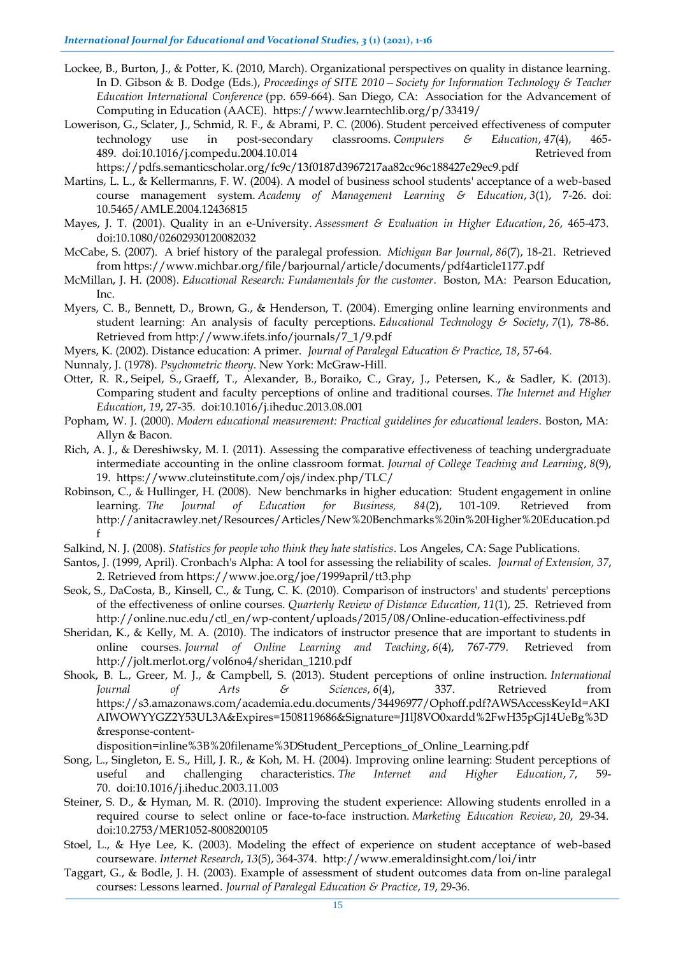- Lockee, B., Burton, J., & Potter, K. (2010, March). Organizational perspectives on quality in distance learning. In D. Gibson & B. Dodge (Eds.), *Proceedings of SITE 2010—Society for Information Technology & Teacher Education International Conference* (pp. 659-664). San Diego, CA: Association for the Advancement of Computing in Education (AACE). https://www.learntechlib.org/p/33419/
- Lowerison, G., Sclater, J., Schmid, R. F., & Abrami, P. C. (2006). Student perceived effectiveness of computer technology use in post-secondary classrooms. *Computers & Education*, *47*(4), 465- 489. doi:10.1016/j.compedu.2004.10.014 Retrieved from

https://pdfs.semanticscholar.org/fc9c/13f0187d3967217aa82cc96c188427e29ec9.pdf

- Martins, L. L., & Kellermanns, F. W. (2004). A model of business school students' acceptance of a web-based course management system. *Academy of Management Learning & Education*, *3*(1), 7-26. doi: 10.5465/AMLE.2004.12436815
- Mayes, J. T. (2001). Quality in an e-University. *Assessment & Evaluation in Higher Education*, *26*, 465-473. doi:10.1080/02602930120082032
- McCabe, S. (2007). A brief history of the paralegal profession. *Michigan Bar Journal*, *86*(7), 18-21. Retrieved from https://www.michbar.org/file/barjournal/article/documents/pdf4article1177.pdf
- McMillan, J. H. (2008). *Educational Research: Fundamentals for the customer*. Boston, MA: Pearson Education, Inc.
- Myers, C. B., Bennett, D., Brown, G., & Henderson, T. (2004). Emerging online learning environments and student learning: An analysis of faculty perceptions. *Educational Technology & Society*, *7*(1), 78-86. Retrieved from http://www.ifets.info/journals/7\_1/9.pdf
- Myers, K. (2002). Distance education: A primer. *Journal of Paralegal Education & Practice, 18*, 57-64.
- Nunnaly, J. (1978). *Psychometric theory*. New York: McGraw-Hill.
- Otter, R. R., Seipel, S., Graeff, T., Alexander, B., Boraiko, C., Gray, J., Petersen, K., & Sadler, K. (2013). Comparing student and faculty perceptions of online and traditional courses. *The Internet and Higher Education*, *19*, 27-35. doi:10.1016/j.iheduc.2013.08.001
- Popham, W. J. (2000). *Modern educational measurement: Practical guidelines for educational leaders*. Boston, MA: Allyn & Bacon.
- Rich, A. J., & Dereshiwsky, M. I. (2011). Assessing the comparative effectiveness of teaching undergraduate intermediate accounting in the online classroom format. *Journal of College Teaching and Learning*, *8*(9), 19. https://www.cluteinstitute.com/ojs/index.php/TLC/
- Robinson, C., & Hullinger, H. (2008). New benchmarks in higher education: Student engagement in online learning. *The Journal of Education for Business, 84*(2), 101-109. Retrieved from http://anitacrawley.net/Resources/Articles/New%20Benchmarks%20in%20Higher%20Education.pd f
- Salkind, N. J. (2008). *Statistics for people who think they hate statistics*. Los Angeles, CA: Sage Publications.
- Santos, J. (1999, April). Cronbach's Alpha: A tool for assessing the reliability of scales. *Journal of Extension, 37*, 2. Retrieved from https://www.joe.org/joe/1999april/tt3.php
- Seok, S., DaCosta, B., Kinsell, C., & Tung, C. K. (2010). Comparison of instructors' and students' perceptions of the effectiveness of online courses. *Quarterly Review of Distance Education*, *11*(1), 25. Retrieved from http://online.nuc.edu/ctl\_en/wp-content/uploads/2015/08/Online-education-effectiviness.pdf
- Sheridan, K., & Kelly, M. A. (2010). The indicators of instructor presence that are important to students in online courses. *Journal of Online Learning and Teaching*, *6*(4), 767-779. Retrieved from http://jolt.merlot.org/vol6no4/sheridan\_1210.pdf
- Shook, B. L., Greer, M. J., & Campbell, S. (2013). Student perceptions of online instruction. *International Journal of Arts & Sciences*, *6*(4), 337. Retrieved from https://s3.amazonaws.com/academia.edu.documents/34496977/Ophoff.pdf?AWSAccessKeyId=AKI AIWOWYYGZ2Y53UL3A&Expires=1508119686&Signature=J1lJ8VO0xardd%2FwH35pGj14UeBg%3D &response-content-

disposition=inline%3B%20filename%3DStudent\_Perceptions\_of\_Online\_Learning.pdf

- Song, L., Singleton, E. S., Hill, J. R., & Koh, M. H. (2004). Improving online learning: Student perceptions of useful and challenging characteristics. *The Internet and Higher Education*, 7, 70. doi:10.1016/j.iheduc.2003.11.003
- Steiner, S. D., & Hyman, M. R. (2010). Improving the student experience: Allowing students enrolled in a required course to select online or face-to-face instruction. *Marketing Education Review*, *20*, 29-34. doi:10.2753/MER1052-8008200105
- Stoel, L., & Hye Lee, K. (2003). Modeling the effect of experience on student acceptance of web-based courseware. *Internet Research*, *13*(5), 364-374. http://www.emeraldinsight.com/loi/intr
- Taggart, G., & Bodle, J. H. (2003). Example of assessment of student outcomes data from on-line paralegal courses: Lessons learned. *Journal of Paralegal Education & Practice*, *19*, 29-36.